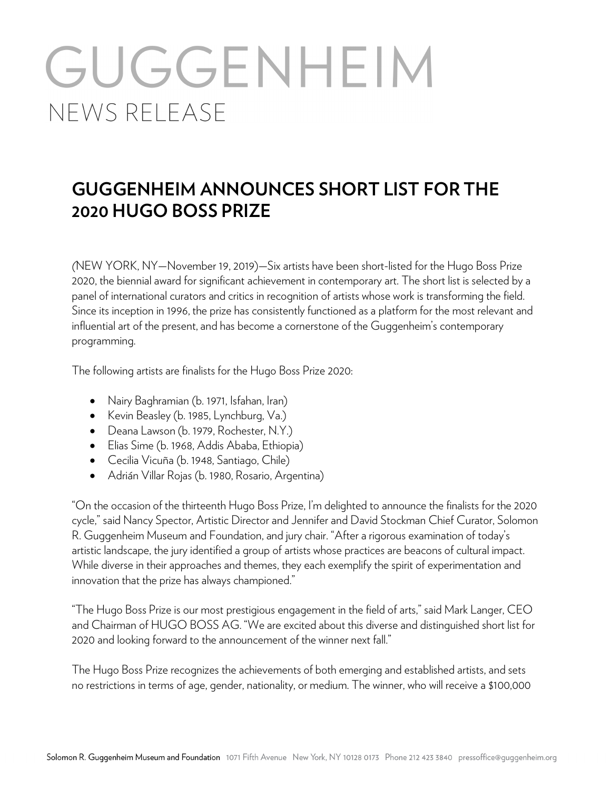# GUGGENHEIM NEWS RELEASE

## **GUGGENHEIM ANNOUNCES SHORT LIST FOR THE 2020 HUGO BOSS PRIZE**

*(*NEW YORK, NY—November 19, 2019)—Six artists have been short-listed for the Hugo Boss Prize 2020, the biennial award for significant achievement in contemporary art. The short list is selected by a panel of international curators and critics in recognition of artists whose work is transforming the field. Since its inception in 1996, the prize has consistently functioned as a platform for the most relevant and influential art of the present, and has become a cornerstone of the Guggenheim's contemporary programming.

The following artists are finalists for the Hugo Boss Prize 2020:

- Nairy Baghramian (b. 1971, Isfahan, Iran)
- Kevin Beasley (b. 1985, Lynchburg, Va.)
- Deana Lawson (b. 1979, Rochester, N.Y.)
- Elias Sime (b. 1968, Addis Ababa, Ethiopia)
- Cecilia Vicuña (b. 1948, Santiago, Chile)
- Adrián Villar Rojas (b. 1980, Rosario, Argentina)

"On the occasion of the thirteenth Hugo Boss Prize, I'm delighted to announce the finalists for the 2020 cycle," said Nancy Spector, Artistic Director and Jennifer and David Stockman Chief Curator, Solomon R. Guggenheim Museum and Foundation, and jury chair. "After a rigorous examination of today's artistic landscape, the jury identified a group of artists whose practices are beacons of cultural impact. While diverse in their approaches and themes, they each exemplify the spirit of experimentation and innovation that the prize has always championed."

"The Hugo Boss Prize is our most prestigious engagement in the field of arts," said Mark Langer, CEO and Chairman of HUGO BOSS AG. "We are excited about this diverse and distinguished short list for 2020 and looking forward to the announcement of the winner next fall."

The Hugo Boss Prize recognizes the achievements of both emerging and established artists, and sets no restrictions in terms of age, gender, nationality, or medium. The winner, who will receive a \$100,000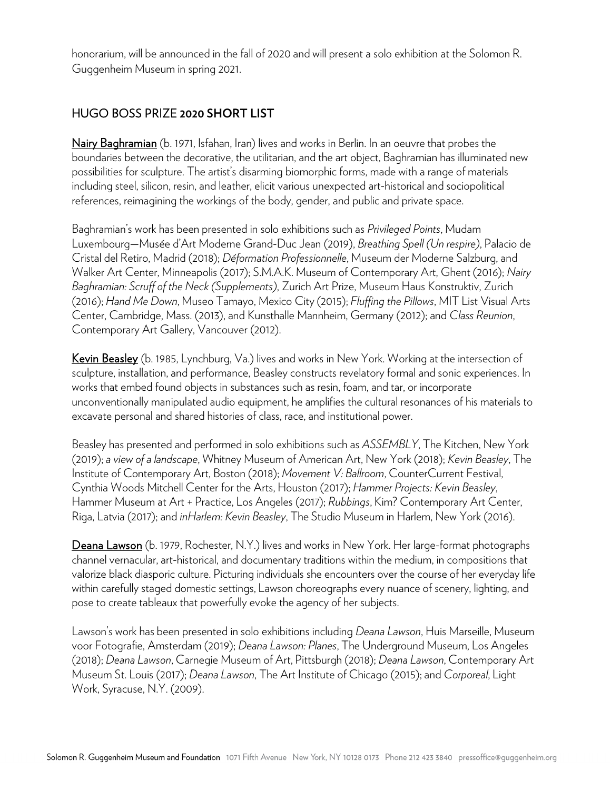honorarium, will be announced in the fall of 2020 and will present a solo exhibition at the Solomon R. Guggenheim Museum in spring 2021.

### HUGO BOSS PRIZE **2020 SHORT LIST**

Nairy Baghramian (b. 1971, Isfahan, Iran) lives and works in Berlin. In an oeuvre that probes the boundaries between the decorative, the utilitarian, and the art object, Baghramian has illuminated new possibilities for sculpture. The artist's disarming biomorphic forms, made with a range of materials including steel, silicon, resin, and leather, elicit various unexpected art-historical and sociopolitical references, reimagining the workings of the body, gender, and public and private space.

Baghramian's work has been presented in solo exhibitions such as *Privileged Points*, Mudam Luxembourg—Musée d'Art Moderne Grand-Duc Jean (2019), *Breathing Spell (Un respire)*, Palacio de Cristal del Retiro, Madrid (2018); *Déformation Professionnelle*, Museum der Moderne Salzburg, and Walker Art Center, Minneapolis (2017); S.M.A.K. Museum of Contemporary Art, Ghent (2016); *Nairy Baghramian: Scruff of the Neck (Supplements)*, Zurich Art Prize, Museum Haus Konstruktiv, Zurich (2016); *Hand Me Down*, Museo Tamayo, Mexico City (2015); *Fluffing the Pillows*, MIT List Visual Arts Center, Cambridge, Mass. (2013), and Kunsthalle Mannheim, Germany (2012); and *Class Reunion*, Contemporary Art Gallery, Vancouver (2012).

Kevin Beasley (b. 1985, Lynchburg, Va.) lives and works in New York. Working at the intersection of sculpture, installation, and performance, Beasley constructs revelatory formal and sonic experiences. In works that embed found objects in substances such as resin, foam, and tar, or incorporate unconventionally manipulated audio equipment, he amplifies the cultural resonances of his materials to excavate personal and shared histories of class, race, and institutional power.

Beasley has presented and performed in solo exhibitions such as *ASSEMBLY*, The Kitchen, New York (2019); *a view of a landscape*, Whitney Museum of American Art, New York (2018); *Kevin Beasley*, The Institute of Contemporary Art, Boston (2018); *Movement V: Ballroom*, CounterCurrent Festival, Cynthia Woods Mitchell Center for the Arts, Houston (2017); *Hammer Projects: Kevin Beasley*, Hammer Museum at Art + Practice, Los Angeles (2017); *Rubbings*, Kim? Contemporary Art Center, Riga, Latvia (2017); and *inHarlem: Kevin Beasley*, The Studio Museum in Harlem, New York (2016).

Deana Lawson (b. 1979, Rochester, N.Y.) lives and works in New York. Her large-format photographs channel vernacular, art-historical, and documentary traditions within the medium, in compositions that valorize black diasporic culture. Picturing individuals she encounters over the course of her everyday life within carefully staged domestic settings, Lawson choreographs every nuance of scenery, lighting, and pose to create tableaux that powerfully evoke the agency of her subjects.

Lawson's work has been presented in solo exhibitions including *Deana Lawson*, Huis Marseille, Museum voor Fotografie, Amsterdam (2019); *Deana Lawson: Planes*, The Underground Museum, Los Angeles (2018); *Deana Lawson*, Carnegie Museum of Art, Pittsburgh (2018); *Deana Lawson*, Contemporary Art Museum St. Louis (2017); *Deana Lawson*, The Art Institute of Chicago (2015); and *Corporeal*, Light Work, Syracuse, N.Y. (2009).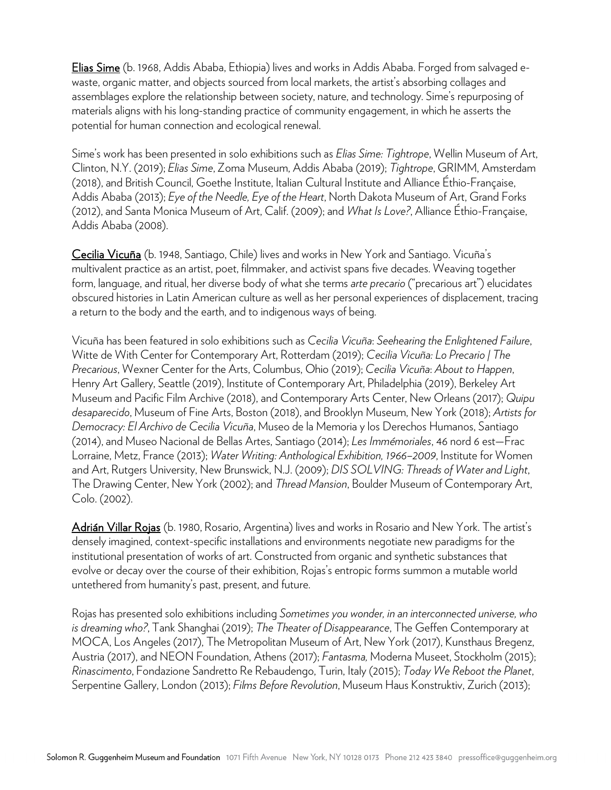Elias Sime (b. 1968, Addis Ababa, Ethiopia) lives and works in Addis Ababa. Forged from salvaged ewaste, organic matter, and objects sourced from local markets, the artist's absorbing collages and assemblages explore the relationship between society, nature, and technology. Sime's repurposing of materials aligns with his long-standing practice of community engagement, in which he asserts the potential for human connection and ecological renewal.

Sime's work has been presented in solo exhibitions such as *Elias Sime: Tightrope*, Wellin Museum of Art, Clinton, N.Y. (2019); *Elias Sime*, Zoma Museum, Addis Ababa (2019); *Tightrope*, GRIMM, Amsterdam (2018), and British Council, Goethe Institute, Italian Cultural Institute and Alliance Éthio-Française, Addis Ababa (2013); *Eye of the Needle, Eye of the Heart*, North Dakota Museum of Art, Grand Forks (2012), and Santa Monica Museum of Art, Calif. (2009); and *What Is Love?*, Alliance Éthio-Française, Addis Ababa (2008).

Cecilia Vicuña (b. 1948, Santiago, Chile) lives and works in New York and Santiago. Vicuña's multivalent practice as an artist, poet, filmmaker, and activist spans five decades. Weaving together form, language, and ritual, her diverse body of what she terms *arte precario* ("precarious art") elucidates obscured histories in Latin American culture as well as her personal experiences of displacement, tracing a return to the body and the earth, and to indigenous ways of being.

Vicuña has been featured in solo exhibitions such as *Cecilia Vicuña*: *Seehearing the Enlightened Failure*, Witte de With Center for Contemporary Art, Rotterdam (2019); *Cecilia Vicuña: Lo Precario | The Precarious*, Wexner Center for the Arts, Columbus, Ohio (2019); *Cecilia Vicuña*: *About to Happen*, Henry Art Gallery, Seattle (2019), Institute of Contemporary Art, Philadelphia (2019), Berkeley Art Museum and Pacific Film Archive (2018), and Contemporary Arts Center, New Orleans (2017); *Quipu desaparecido*, Museum of Fine Arts, Boston (2018), and Brooklyn Museum, New York (2018); *Artists for Democracy: El Archivo de Cecilia Vicuña*, Museo de la Memoria y los Derechos Humanos, Santiago (2014), and Museo Nacional de Bellas Artes, Santiago (2014); *Les Immémoriales*, 46 nord 6 est—Frac Lorraine, Metz, France (2013); *Water Writing: Anthological Exhibition, 1966–2009*, Institute for Women and Art, Rutgers University, New Brunswick, N.J. (2009); *DIS SOLVING: Threads of Water and Light*, The Drawing Center, New York (2002); and *Thread Mansion*, Boulder Museum of Contemporary Art, Colo. (2002).

Adrián Villar Rojas (b. 1980, Rosario, Argentina) lives and works in Rosario and New York. The artist's densely imagined, context-specific installations and environments negotiate new paradigms for the institutional presentation of works of art. Constructed from organic and synthetic substances that evolve or decay over the course of their exhibition, Rojas's entropic forms summon a mutable world untethered from humanity's past, present, and future.

Rojas has presented solo exhibitions including *Sometimes you wonder, in an interconnected universe, who is dreaming who?*, Tank Shanghai (2019); *The Theater of Disappearance*, The Geffen Contemporary at MOCA, Los Angeles (2017), The Metropolitan Museum of Art, New York (2017), Kunsthaus Bregenz, Austria (2017), and NEON Foundation, Athens (2017); *Fantasma,* Moderna Museet, Stockholm (2015); *Rinascimento*, Fondazione Sandretto Re Rebaudengo, Turin, Italy (2015); *Today We Reboot the Planet*, Serpentine Gallery, London (2013); *Films Before Revolution*, Museum Haus Konstruktiv, Zurich (2013);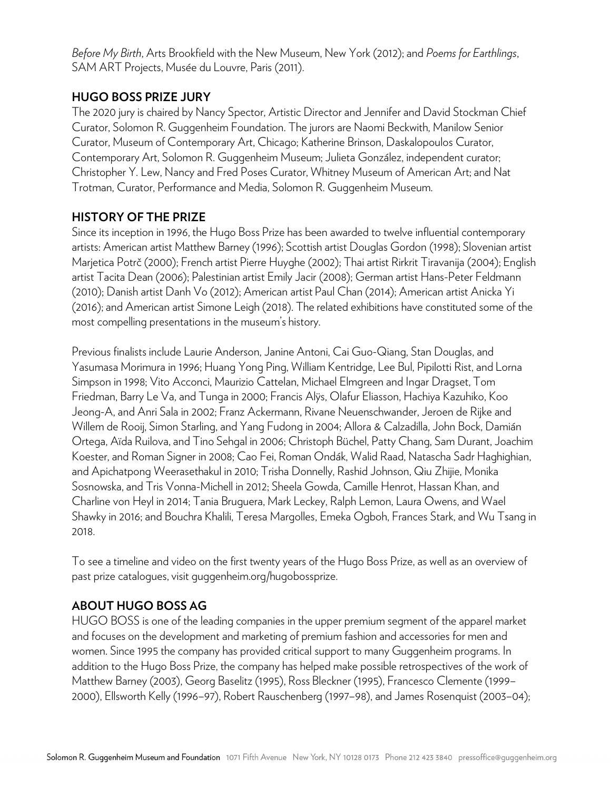*Before My Birth*, Arts Brookfield with the New Museum, New York (2012); and *Poems for Earthlings*, SAM ART Projects, Musée du Louvre, Paris (2011).

### **HUGO BOSS PRIZE JURY**

The 2020 jury is chaired by Nancy Spector, Artistic Director and Jennifer and David Stockman Chief Curator, Solomon R. Guggenheim Foundation. The jurors are Naomi Beckwith, Manilow Senior Curator, Museum of Contemporary Art, Chicago; Katherine Brinson, Daskalopoulos Curator, Contemporary Art, Solomon R. Guggenheim Museum; Julieta González, independent curator; Christopher Y. Lew, Nancy and Fred Poses Curator, Whitney Museum of American Art; and Nat Trotman, Curator, Performance and Media, Solomon R. Guggenheim Museum.

#### **HISTORY OF THE PRIZE**

Since its inception in 1996, the Hugo Boss Prize has been awarded to twelve influential contemporary artists: American artist Matthew Barney (1996); Scottish artist Douglas Gordon (1998); Slovenian artist Marjetica Potrč (2000); French artist Pierre Huyghe (2002); Thai artist Rirkrit Tiravanija (2004); English artist Tacita Dean (2006); Palestinian artist Emily Jacir (2008); German artist Hans-Peter Feldmann (2010); Danish artist Danh Vo (2012); American artist Paul Chan (2014); American artist Anicka Yi (2016); and American artist Simone Leigh (2018). The related exhibitions have constituted some of the most compelling presentations in the museum's history.

Previous finalists include Laurie Anderson, Janine Antoni, Cai Guo-Qiang, Stan Douglas, and Yasumasa Morimura in 1996; Huang Yong Ping, William Kentridge, Lee Bul, Pipilotti Rist, and Lorna Simpson in 1998; Vito Acconci, Maurizio Cattelan, Michael Elmgreen and Ingar Dragset, Tom Friedman, Barry Le Va, and Tunga in 2000; Francis Alÿs, Olafur Eliasson, Hachiya Kazuhiko, Koo Jeong-A, and Anri Sala in 2002; Franz Ackermann, Rivane Neuenschwander, Jeroen de Rijke and Willem de Rooij, Simon Starling, and Yang Fudong in 2004; Allora & Calzadilla, John Bock, Damián Ortega, Aïda Ruilova, and Tino Sehgal in 2006; Christoph Büchel, Patty Chang, Sam Durant, Joachim Koester, and Roman Signer in 2008; Cao Fei, Roman Ondák, Walid Raad, Natascha Sadr Haghighian, and Apichatpong Weerasethakul in 2010; Trisha Donnelly, Rashid Johnson, Qiu Zhijie, Monika Sosnowska, and Tris Vonna-Michell in 2012; Sheela Gowda, Camille Henrot, Hassan Khan, and Charline von Heyl in 2014; Tania Bruguera, Mark Leckey, Ralph Lemon, Laura Owens, and Wael Shawky in 2016; and Bouchra Khalili, Teresa Margolles, Emeka Ogboh, Frances Stark, and Wu Tsang in 2018.

To see a timeline and video on the first twenty years of the Hugo Boss Prize, as well as an overview of past prize catalogues, visit guggenheim.org/hugobossprize.

### **ABOUT HUGO BOSS AG**

HUGO BOSS is one of the leading companies in the upper premium segment of the apparel market and focuses on the development and marketing of premium fashion and accessories for men and women. Since 1995 the company has provided critical support to many Guggenheim programs. In addition to the Hugo Boss Prize, the company has helped make possible retrospectives of the work of Matthew Barney (2003), Georg Baselitz (1995), Ross Bleckner (1995), Francesco Clemente (1999– 2000), Ellsworth Kelly (1996–97), Robert Rauschenberg (1997–98), and James Rosenquist (2003–04);